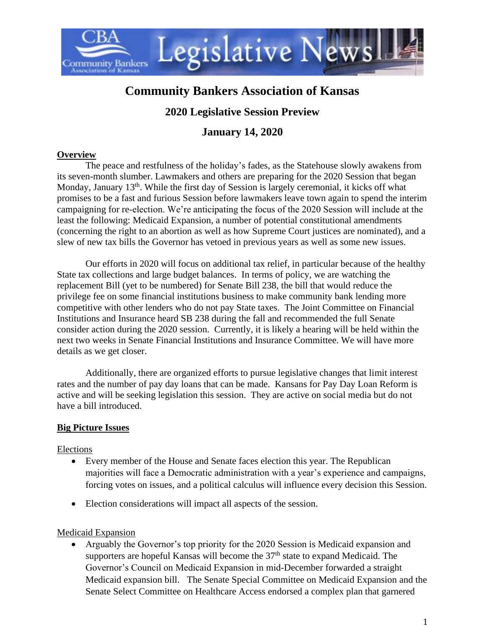

# **Community Bankers Association of Kansas**

# **2020 Legislative Session Preview**

## **January 14, 2020**

#### **Overview**

The peace and restfulness of the holiday's fades, as the Statehouse slowly awakens from its seven-month slumber. Lawmakers and others are preparing for the 2020 Session that began Monday, January  $13<sup>th</sup>$ . While the first day of Session is largely ceremonial, it kicks off what promises to be a fast and furious Session before lawmakers leave town again to spend the interim campaigning for re-election. We're anticipating the focus of the 2020 Session will include at the least the following: Medicaid Expansion, a number of potential constitutional amendments (concerning the right to an abortion as well as how Supreme Court justices are nominated), and a slew of new tax bills the Governor has vetoed in previous years as well as some new issues.

Our efforts in 2020 will focus on additional tax relief, in particular because of the healthy State tax collections and large budget balances. In terms of policy, we are watching the replacement Bill (yet to be numbered) for Senate Bill 238, the bill that would reduce the privilege fee on some financial institutions business to make community bank lending more competitive with other lenders who do not pay State taxes. The Joint Committee on Financial Institutions and Insurance heard SB 238 during the fall and recommended the full Senate consider action during the 2020 session. Currently, it is likely a hearing will be held within the next two weeks in Senate Financial Institutions and Insurance Committee. We will have more details as we get closer.

Additionally, there are organized efforts to pursue legislative changes that limit interest rates and the number of pay day loans that can be made. Kansans for Pay Day Loan Reform is active and will be seeking legislation this session. They are active on social media but do not have a bill introduced.

## **Big Picture Issues**

#### Elections

- Every member of the House and Senate faces election this year. The Republican majorities will face a Democratic administration with a year's experience and campaigns, forcing votes on issues, and a political calculus will influence every decision this Session.
- Election considerations will impact all aspects of the session.

## Medicaid Expansion

• Arguably the Governor's top priority for the 2020 Session is Medicaid expansion and supporters are hopeful Kansas will become the 37<sup>th</sup> state to expand Medicaid. The Governor's Council on Medicaid Expansion in mid-December forwarded a straight Medicaid expansion bill. The Senate Special Committee on Medicaid Expansion and the Senate Select Committee on Healthcare Access endorsed a complex plan that garnered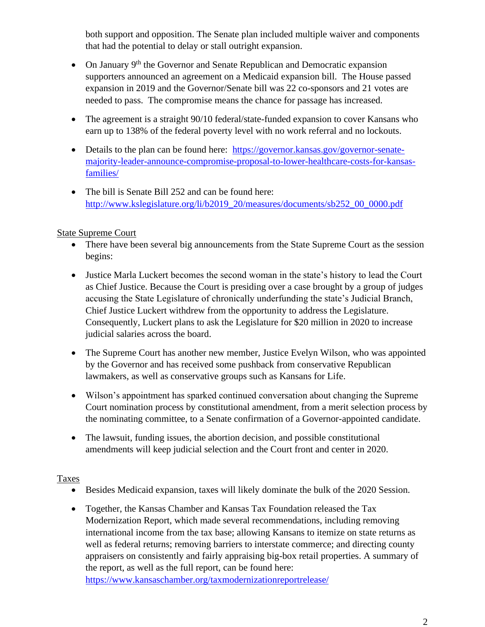both support and opposition. The Senate plan included multiple waiver and components that had the potential to delay or stall outright expansion.

- On January 9<sup>th</sup> the Governor and Senate Republican and Democratic expansion supporters announced an agreement on a Medicaid expansion bill. The House passed expansion in 2019 and the Governor/Senate bill was 22 co-sponsors and 21 votes are needed to pass. The compromise means the chance for passage has increased.
- The agreement is a straight 90/10 federal/state-funded expansion to cover Kansans who earn up to 138% of the federal poverty level with no work referral and no lockouts.
- Details to the plan can be found here: [https://governor.kansas.gov/governor-senate](https://governor.kansas.gov/governor-senate-majority-leader-announce-compromise-proposal-to-lower-healthcare-costs-for-kansas-families/)[majority-leader-announce-compromise-proposal-to-lower-healthcare-costs-for-kansas](https://governor.kansas.gov/governor-senate-majority-leader-announce-compromise-proposal-to-lower-healthcare-costs-for-kansas-families/)[families/](https://governor.kansas.gov/governor-senate-majority-leader-announce-compromise-proposal-to-lower-healthcare-costs-for-kansas-families/)
- The bill is Senate Bill 252 and can be found here: [http://www.kslegislature.org/li/b2019\\_20/measures/documents/sb252\\_00\\_0000.pdf](http://www.kslegislature.org/li/b2019_20/measures/documents/sb252_00_0000.pdf)

## State Supreme Court

- There have been several big announcements from the State Supreme Court as the session begins:
- Justice Marla Luckert becomes the second woman in the state's history to lead the Court as Chief Justice. Because the Court is presiding over a case brought by a group of judges accusing the State Legislature of chronically underfunding the state's Judicial Branch, Chief Justice Luckert withdrew from the opportunity to address the Legislature. Consequently, Luckert plans to ask the Legislature for \$20 million in 2020 to increase judicial salaries across the board.
- The Supreme Court has another new member, Justice Evelyn Wilson, who was appointed by the Governor and has received some pushback from conservative Republican lawmakers, as well as conservative groups such as Kansans for Life.
- Wilson's appointment has sparked continued conversation about changing the Supreme Court nomination process by constitutional amendment, from a merit selection process by the nominating committee, to a Senate confirmation of a Governor-appointed candidate.
- The lawsuit, funding issues, the abortion decision, and possible constitutional amendments will keep judicial selection and the Court front and center in 2020.

## Taxes

- Besides Medicaid expansion, taxes will likely dominate the bulk of the 2020 Session.
- Together, the Kansas Chamber and Kansas Tax Foundation released the Tax Modernization Report, which made several recommendations, including removing international income from the tax base; allowing Kansans to itemize on state returns as well as federal returns; removing barriers to interstate commerce; and directing county appraisers on consistently and fairly appraising big-box retail properties. A summary of the report, as well as the full report, can be found here: <https://www.kansaschamber.org/taxmodernizationreportrelease/>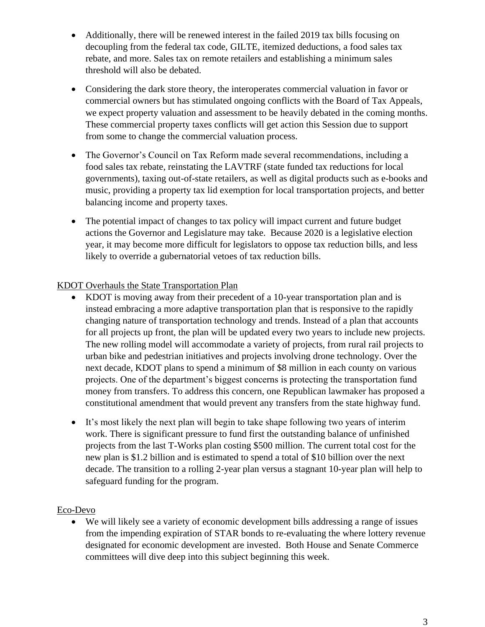- Additionally, there will be renewed interest in the failed 2019 tax bills focusing on decoupling from the federal tax code, GILTE, itemized deductions, a food sales tax rebate, and more. Sales tax on remote retailers and establishing a minimum sales threshold will also be debated.
- Considering the dark store theory, the interoperates commercial valuation in favor or commercial owners but has stimulated ongoing conflicts with the Board of Tax Appeals, we expect property valuation and assessment to be heavily debated in the coming months. These commercial property taxes conflicts will get action this Session due to support from some to change the commercial valuation process.
- The Governor's Council on Tax Reform made several recommendations, including a food sales tax rebate, reinstating the LAVTRF (state funded tax reductions for local governments), taxing out-of-state retailers, as well as digital products such as e-books and music, providing a property tax lid exemption for local transportation projects, and better balancing income and property taxes.
- The potential impact of changes to tax policy will impact current and future budget actions the Governor and Legislature may take. Because 2020 is a legislative election year, it may become more difficult for legislators to oppose tax reduction bills, and less likely to override a gubernatorial vetoes of tax reduction bills.

## KDOT Overhauls the State Transportation Plan

- KDOT is moving away from their precedent of a 10-year transportation plan and is instead embracing a more adaptive transportation plan that is responsive to the rapidly changing nature of transportation technology and trends. Instead of a plan that accounts for all projects up front, the plan will be updated every two years to include new projects. The new rolling model will accommodate a variety of projects, from rural rail projects to urban bike and pedestrian initiatives and projects involving drone technology. Over the next decade, KDOT plans to spend a minimum of \$8 million in each county on various projects. One of the department's biggest concerns is protecting the transportation fund money from transfers. To address this concern, one Republican lawmaker has proposed a constitutional amendment that would prevent any transfers from the state highway fund.
- It's most likely the next plan will begin to take shape following two years of interim work. There is significant pressure to fund first the outstanding balance of unfinished projects from the last T-Works plan costing \$500 million. The current total cost for the new plan is \$1.2 billion and is estimated to spend a total of \$10 billion over the next decade. The transition to a rolling 2-year plan versus a stagnant 10-year plan will help to safeguard funding for the program.

#### Eco-Devo

• We will likely see a variety of economic development bills addressing a range of issues from the impending expiration of STAR bonds to re-evaluating the where lottery revenue designated for economic development are invested. Both House and Senate Commerce committees will dive deep into this subject beginning this week.